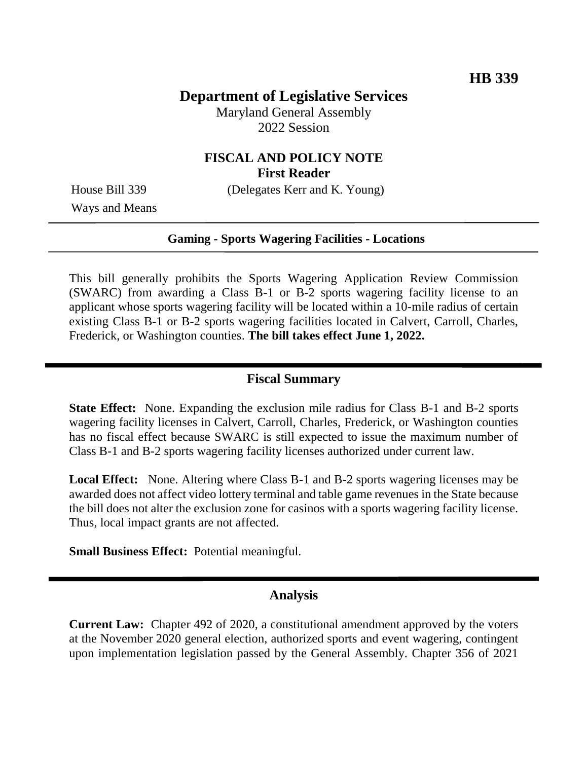# **Department of Legislative Services**

Maryland General Assembly 2022 Session

#### **FISCAL AND POLICY NOTE First Reader**

House Bill 339 (Delegates Kerr and K. Young)

Ways and Means

#### **Gaming - Sports Wagering Facilities - Locations**

This bill generally prohibits the Sports Wagering Application Review Commission (SWARC) from awarding a Class B-1 or B-2 sports wagering facility license to an applicant whose sports wagering facility will be located within a 10-mile radius of certain existing Class B-1 or B-2 sports wagering facilities located in Calvert, Carroll, Charles, Frederick, or Washington counties. **The bill takes effect June 1, 2022.**

#### **Fiscal Summary**

**State Effect:** None. Expanding the exclusion mile radius for Class B-1 and B-2 sports wagering facility licenses in Calvert, Carroll, Charles, Frederick, or Washington counties has no fiscal effect because SWARC is still expected to issue the maximum number of Class B-1 and B-2 sports wagering facility licenses authorized under current law.

**Local Effect:** None. Altering where Class B-1 and B-2 sports wagering licenses may be awarded does not affect video lottery terminal and table game revenues in the State because the bill does not alter the exclusion zone for casinos with a sports wagering facility license. Thus, local impact grants are not affected.

**Small Business Effect:** Potential meaningful.

### **Analysis**

**Current Law:** Chapter 492 of 2020, a constitutional amendment approved by the voters at the November 2020 general election, authorized sports and event wagering, contingent upon implementation legislation passed by the General Assembly. Chapter 356 of 2021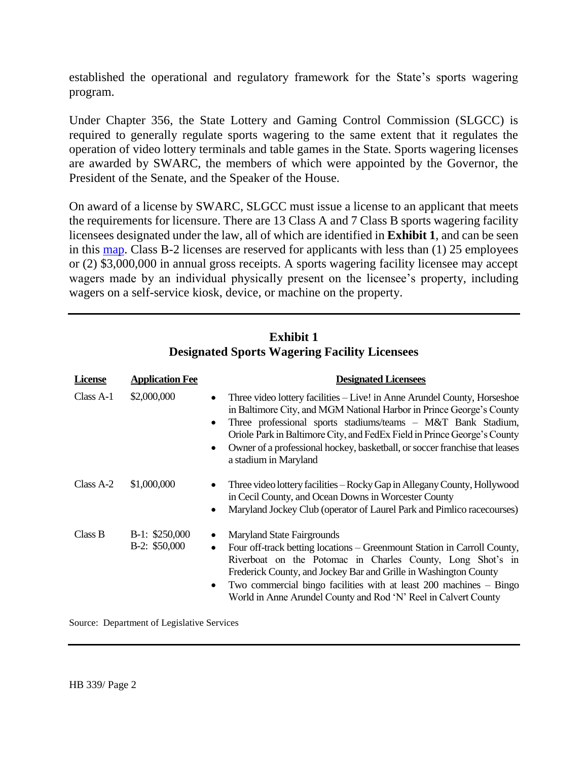established the operational and regulatory framework for the State's sports wagering program.

Under Chapter 356, the State Lottery and Gaming Control Commission (SLGCC) is required to generally regulate sports wagering to the same extent that it regulates the operation of video lottery terminals and table games in the State. Sports wagering licenses are awarded by SWARC, the members of which were appointed by the Governor, the President of the Senate, and the Speaker of the House.

On award of a license by SWARC, SLGCC must issue a license to an applicant that meets the requirements for licensure. There are 13 Class A and 7 Class B sports wagering facility licensees designated under the law, all of which are identified in **Exhibit 1**, and can be seen in this [map.](https://arcg.is/10rz5a0) Class B-2 licenses are reserved for applicants with less than (1) 25 employees or (2) \$3,000,000 in annual gross receipts. A sports wagering facility licensee may accept wagers made by an individual physically present on the licensee's property, including wagers on a self-service kiosk, device, or machine on the property.

| <b>License</b> | <b>Application Fee</b>            | <b>Designated Licensees</b>                                                                                                                                                                                                                                                                                                                                                                                                                 |
|----------------|-----------------------------------|---------------------------------------------------------------------------------------------------------------------------------------------------------------------------------------------------------------------------------------------------------------------------------------------------------------------------------------------------------------------------------------------------------------------------------------------|
| Class A-1      | \$2,000,000                       | Three video lottery facilities – Live! in Anne Arundel County, Horseshoe<br>$\bullet$<br>in Baltimore City, and MGM National Harbor in Prince George's County<br>Three professional sports stadiums/teams - M&T Bank Stadium,<br>$\bullet$<br>Oriole Park in Baltimore City, and FedEx Field in Prince George's County<br>Owner of a professional hockey, basketball, or soccer franchise that leases<br>$\bullet$<br>a stadium in Maryland |
| Class A-2      | \$1,000,000                       | Three video lottery facilities – Rocky Gap in Allegany County, Hollywood<br>$\bullet$<br>in Cecil County, and Ocean Downs in Worcester County<br>Maryland Jockey Club (operator of Laurel Park and Pimlico racecourses)<br>$\bullet$                                                                                                                                                                                                        |
| Class B        | $B-1: $250,000$<br>$B-2: $50,000$ | <b>Maryland State Fairgrounds</b><br>$\bullet$<br>Four off-track betting locations – Greenmount Station in Carroll County,<br>$\bullet$<br>Riverboat on the Potomac in Charles County, Long Shot's in<br>Frederick County, and Jockey Bar and Grille in Washington County<br>Two commercial bingo facilities with at least $200$ machines $-$ Bingo<br>$\bullet$<br>World in Anne Arundel County and Rod 'N' Reel in Calvert County         |

### **Exhibit 1 Designated Sports Wagering Facility Licensees**

Source: Department of Legislative Services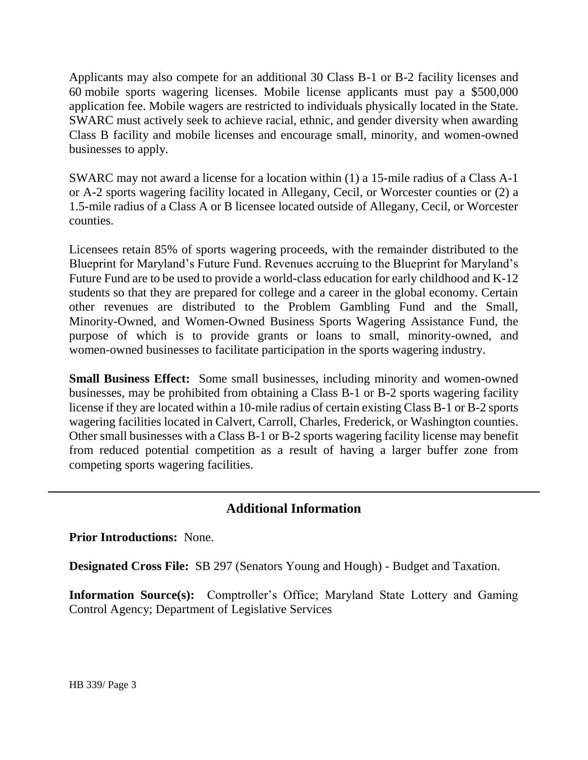Applicants may also compete for an additional 30 Class B-1 or B-2 facility licenses and 60 mobile sports wagering licenses. Mobile license applicants must pay a \$500,000 application fee. Mobile wagers are restricted to individuals physically located in the State. SWARC must actively seek to achieve racial, ethnic, and gender diversity when awarding Class B facility and mobile licenses and encourage small, minority, and women-owned businesses to apply.

SWARC may not award a license for a location within (1) a 15-mile radius of a Class A-1 or A-2 sports wagering facility located in Allegany, Cecil, or Worcester counties or (2) a 1.5-mile radius of a Class A or B licensee located outside of Allegany, Cecil, or Worcester counties.

Licensees retain 85% of sports wagering proceeds, with the remainder distributed to the Blueprint for Maryland's Future Fund. Revenues accruing to the Blueprint for Maryland's Future Fund are to be used to provide a world-class education for early childhood and K-12 students so that they are prepared for college and a career in the global economy. Certain other revenues are distributed to the Problem Gambling Fund and the Small, Minority-Owned, and Women-Owned Business Sports Wagering Assistance Fund, the purpose of which is to provide grants or loans to small, minority-owned, and women-owned businesses to facilitate participation in the sports wagering industry.

**Small Business Effect:** Some small businesses, including minority and women-owned businesses, may be prohibited from obtaining a Class B-1 or B-2 sports wagering facility license if they are located within a 10-mile radius of certain existing Class B-1 or B-2 sports wagering facilities located in Calvert, Carroll, Charles, Frederick, or Washington counties. Other small businesses with a Class B-1 or B-2 sports wagering facility license may benefit from reduced potential competition as a result of having a larger buffer zone from competing sports wagering facilities.

# **Additional Information**

**Prior Introductions:** None.

**Designated Cross File:** SB 297 (Senators Young and Hough) - Budget and Taxation.

**Information Source(s):** Comptroller's Office; Maryland State Lottery and Gaming Control Agency; Department of Legislative Services